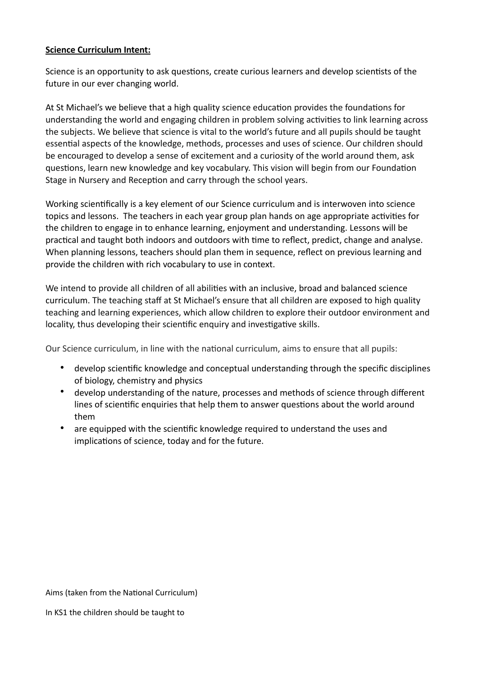## **Science Curriculum Intent:**

Science is an opportunity to ask questions, create curious learners and develop scientists of the future in our ever changing world.

At St Michael's we believe that a high quality science education provides the foundations for understanding the world and engaging children in problem solving activities to link learning across the subjects. We believe that science is vital to the world's future and all pupils should be taught essential aspects of the knowledge, methods, processes and uses of science. Our children should be encouraged to develop a sense of excitement and a curiosity of the world around them, ask questions, learn new knowledge and key vocabulary. This vision will begin from our Foundation Stage in Nursery and Reception and carry through the school years.

Working scientifically is a key element of our Science curriculum and is interwoven into science topics and lessons. The teachers in each year group plan hands on age appropriate activities for the children to engage in to enhance learning, enjoyment and understanding. Lessons will be practical and taught both indoors and outdoors with time to reflect, predict, change and analyse. When planning lessons, teachers should plan them in sequence, reflect on previous learning and provide the children with rich vocabulary to use in context.

We intend to provide all children of all abilities with an inclusive, broad and balanced science curriculum. The teaching staff at St Michael's ensure that all children are exposed to high quality teaching and learning experiences, which allow children to explore their outdoor environment and locality, thus developing their scientific enquiry and investigative skills.

Our Science curriculum, in line with the national curriculum, aims to ensure that all pupils:

- develop scientific knowledge and conceptual understanding through the specific disciplines of biology, chemistry and physics
- develop understanding of the nature, processes and methods of science through different lines of scientific enquiries that help them to answer questions about the world around them
- are equipped with the scientific knowledge required to understand the uses and implications of science, today and for the future.

Aims (taken from the National Curriculum)

In KS1 the children should be taught to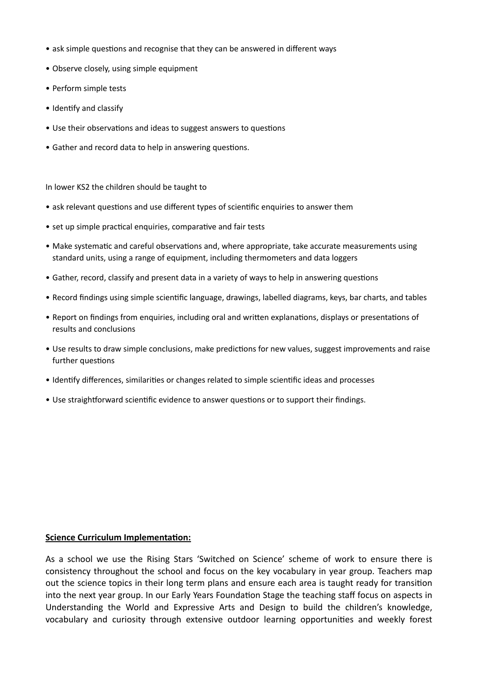- ask simple questions and recognise that they can be answered in different ways
- Observe closely, using simple equipment
- Perform simple tests
- Identify and classify
- Use their observations and ideas to suggest answers to questions
- Gather and record data to help in answering questions.

In lower KS2 the children should be taught to

- ask relevant questions and use different types of scientific enquiries to answer them
- set up simple practical enquiries, comparative and fair tests
- Make systematic and careful observations and, where appropriate, take accurate measurements using standard units, using a range of equipment, including thermometers and data loggers
- Gather, record, classify and present data in a variety of ways to help in answering questions
- Record findings using simple scientific language, drawings, labelled diagrams, keys, bar charts, and tables
- Report on findings from enquiries, including oral and written explanations, displays or presentations of results and conclusions
- Use results to draw simple conclusions, make predictions for new values, suggest improvements and raise further questions
- Identify differences, similarities or changes related to simple scientific ideas and processes
- Use straightforward scientific evidence to answer questions or to support their findings.

## **Science Curriculum Implementation:**

As a school we use the Rising Stars 'Switched on Science' scheme of work to ensure there is consistency throughout the school and focus on the key vocabulary in year group. Teachers map out the science topics in their long term plans and ensure each area is taught ready for transition into the next year group. In our Early Years Foundation Stage the teaching staff focus on aspects in Understanding the World and Expressive Arts and Design to build the children's knowledge, vocabulary and curiosity through extensive outdoor learning opportunities and weekly forest